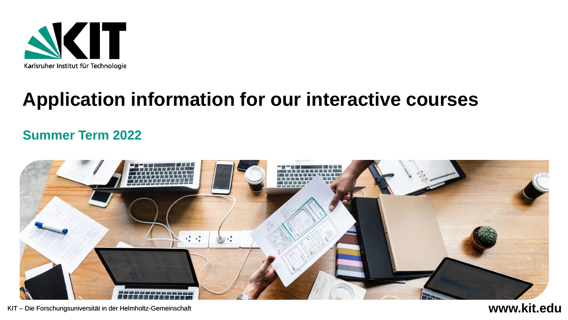

# **Application information for our interactive courses**

### **Summer Term 2022**

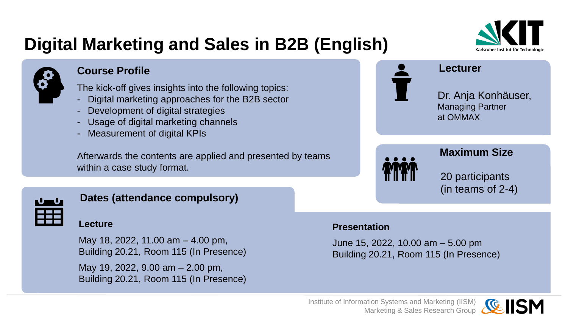# **Digital Marketing and Sales in B2B (English)**



#### **Course Profile**

The kick-off gives insights into the following topics:

- Digital marketing approaches for the B2B sector
- Development of digital strategies
- Usage of digital marketing channels
- Measurement of digital KPIs

Afterwards the contents are applied and presented by teams within a case study format.





Dr. Anja Konhäuser, Managing Partner at OMMAX

**Lecturer**



#### **Maximum Size**

20 participants (in teams of 2-4)

#### **Dates (attendance compulsory)**

#### **Lecture**

May 18, 2022, 11.00 am – 4.00 pm, Building 20.21, Room 115 (In Presence)

May 19, 2022, 9.00 am – 2.00 pm, Building 20.21, Room 115 (In Presence)

#### **Presentation**

June 15, 2022, 10.00 am – 5.00 pm Building 20.21, Room 115 (In Presence)

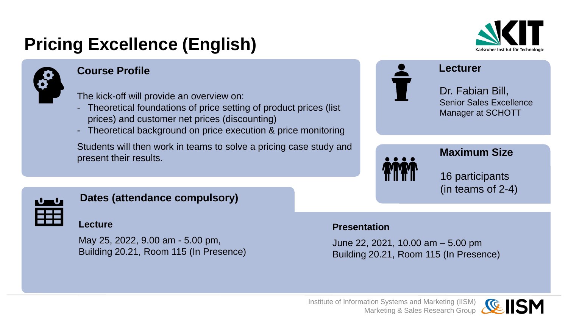# **Pricing Excellence (English)**



#### **Course Profile**

The kick-off will provide an overview on:

- Theoretical foundations of price setting of product prices (list) prices) and customer net prices (discounting)
- Theoretical background on price execution & price monitoring

Students will then work in teams to solve a pricing case study and present their results.





**Lecturer**

Dr. Fabian Bill, Senior Sales Excellence Manager at SCHOTT



#### **Maximum Size**

16 participants (in teams of 2-4)

#### **Dates (attendance compulsory)**

#### **Lecture**

May 25, 2022, 9.00 am - 5.00 pm, Building 20.21, Room 115 (In Presence)

#### **Presentation**

June 22, 2021, 10.00 am – 5.00 pm Building 20.21, Room 115 (In Presence)

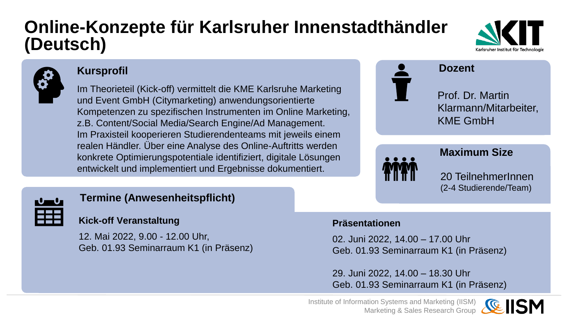### **Online-Konzepte für Karlsruher Innenstadthändler (Deutsch)**





#### **Kursprofil**

Im Theorieteil (Kick-off) vermittelt die KME Karlsruhe Marketing und Event GmbH (Citymarketing) anwendungsorientierte Kompetenzen zu spezifischen Instrumenten im Online Marketing, z.B. Content/Social Media/Search Engine/Ad Management. Im Praxisteil kooperieren Studierendenteams mit jeweils einem realen Händler. Über eine Analyse des Online-Auftritts werden konkrete Optimierungspotentiale identifiziert, digitale Lösungen entwickelt und implementiert und Ergebnisse dokumentiert.



**Dozent**

Prof. Dr. Martin Klarmann/Mitarbeiter, KME GmbH

20 TeilnehmerInnen (2-4 Studierende/Team)

**Maximum Size**



### **Termine (Anwesenheitspflicht)**

### **Kick-off Veranstaltung**

12. Mai 2022, 9.00 - 12.00 Uhr, Geb. 01.93 Seminarraum K1 (in Präsenz)

#### **Präsentationen**

02. Juni 2022, 14.00 – 17.00 Uhr Geb. 01.93 Seminarraum K1 (in Präsenz)

29. Juni 2022, 14.00 – 18.30 Uhr Geb. 01.93 Seminarraum K1 (in Präsenz)